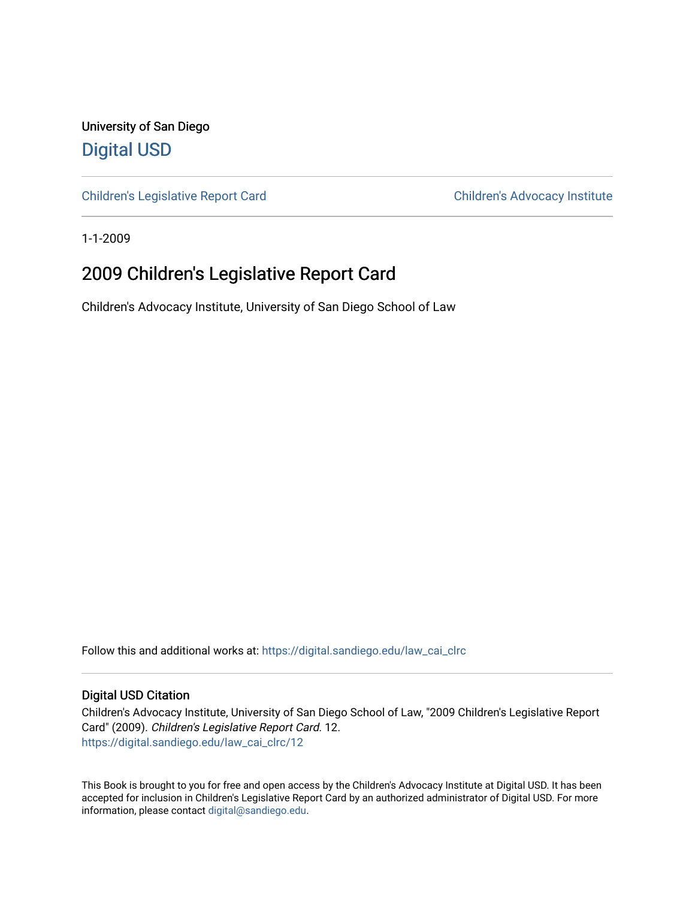University of San Diego [Digital USD](https://digital.sandiego.edu/)

[Children's Legislative Report Card](https://digital.sandiego.edu/law_cai_clrc) Children's Advocacy Institute

1-1-2009

### 2009 Children's Legislative Report Card

Children's Advocacy Institute, University of San Diego School of Law

Follow this and additional works at: [https://digital.sandiego.edu/law\\_cai\\_clrc](https://digital.sandiego.edu/law_cai_clrc?utm_source=digital.sandiego.edu%2Flaw_cai_clrc%2F12&utm_medium=PDF&utm_campaign=PDFCoverPages) 

#### Digital USD Citation

Children's Advocacy Institute, University of San Diego School of Law, "2009 Children's Legislative Report Card" (2009). Children's Legislative Report Card. 12. [https://digital.sandiego.edu/law\\_cai\\_clrc/12](https://digital.sandiego.edu/law_cai_clrc/12?utm_source=digital.sandiego.edu%2Flaw_cai_clrc%2F12&utm_medium=PDF&utm_campaign=PDFCoverPages)

This Book is brought to you for free and open access by the Children's Advocacy Institute at Digital USD. It has been accepted for inclusion in Children's Legislative Report Card by an authorized administrator of Digital USD. For more information, please contact [digital@sandiego.edu.](mailto:digital@sandiego.edu)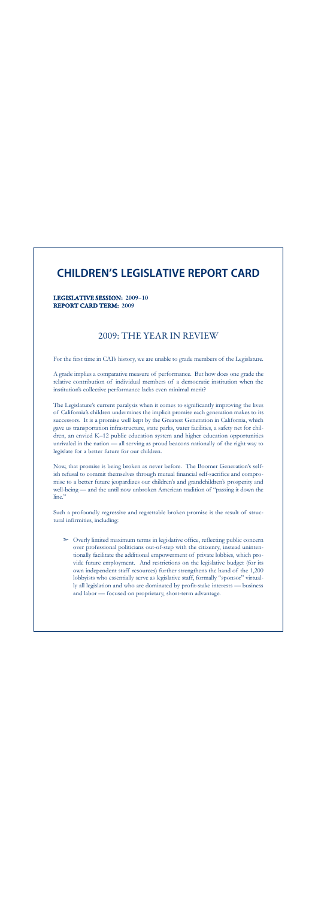### **CHILDREN'S LEGISLATIVE REPORT CARD**

#### LEGISLATIVE SESSION: 2009–10 REPORT CARD TERM: 2009

### 2009: THE YEAR IN REVIEW

For the first time in CAI's history, we are unable to grade members of the Legislature.

A grade implies a comparative measure of performance. But how does one grade the relative contribution of individual members of a democratic institution when the institution's collective performance lacks even minimal merit?

The Legislature's current paralysis when it comes to significantly improving the lives of California's children undermines the implicit promise each generation makes to its successors. It is a promise well kept by the Greatest Generation in California, which gave us transportation infrastructure, state parks, water facilities, a safety net for children, an envied K–12 public education system and higher education opportunities unrivaled in the nation — all serving as proud beacons nationally of the right way to legislate for a better future for our children.

Now, that promise is being broken as never before. The Boomer Generation's selfish refusal to commit themselves through mutual financial self-sacrifice and compromise to a better future jeopardizes our children's and grandchildren's prosperity and well-being — and the until now unbroken American tradition of "passing it down the line"

Such a profoundly regressive and regrettable broken promise is the result of structural infirmities, including:

➣ Overly limited maximum terms in legislative office, reflecting public concern over professional politicians out-of-step with the citizenry, instead unintentionally facilitate the additional empowerment of private lobbies, which provide future employment. And restrictions on the legislative budget (for its own independent staff resources) further strengthens the hand of the 1,200 lobbyists who essentially serve as legislative staff, formally "sponsor" virtually all legislation and who are dominated by profit-stake interests — business and labor — focused on proprietary, short-term advantage.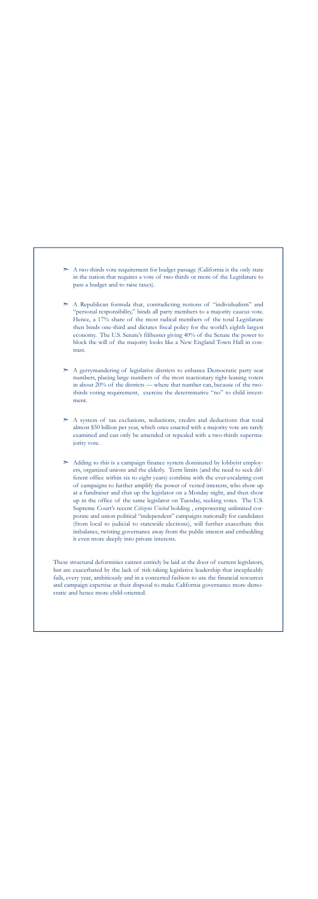- $\geq$  A two-thirds vote requirement for budget passage (California is the only state in the nation that requires a vote of two-thirds or more of the Legislature to pass a budget and to raise taxes).
- ➣ A Republican formula that, contradicting notions of "individualism" and "personal responsibility," binds all party members to a majority caucus vote. Hence, a 17% share of the most radical members of the total Legislature then binds one-third and dictates fiscal policy for the world's eighth largest economy. The U.S. Senate's filibuster giving 40% of the Senate the power to block the will of the majority looks like a New England Town Hall in contrast.
- $\geq$  A gerrymandering of legislative districts to enhance Democratic party seat numbers, placing large numbers of the most reactionary right-leaning voters in about 20% of the districts — where that number can, because of the twothirds voting requirement, exercise the determinative "no" to child investment.
- $\geq$  A system of tax exclusions, reductions, credits and deductions that total almost \$50 billion per year, which once enacted with a majority vote are rarely examined and can only be amended or repealed with a two-thirds supermajority vote.
- $\geq$  Adding to this is a campaign finance system dominated by lobbyist employers, organized unions and the elderly. Term limits (and the need to seek different office within six to eight years) combine with the ever-escalating cost of campaigns to further amplify the power of vested interests, who show up at a fundraiser and chat up the legislator on a Monday night, and then show up in the office of the same legislator on Tuesday, seeking votes. The U.S. Supreme Court's recent *Citizens United* holding , empowering unlimited corporate and union political "independent" campaigns nationally for candidates (from local to judicial to statewide elections), will further exacerbate this imbalance, twisting governance away from the public interest and embedding it even more deeply into private interests.

These structural deformities cannot entirely be laid at the door of current legislators, but are exacerbated by the lack of risk-taking legislative leadership that inexplicably fails, every year, ambitiously and in a concerted fashion to use the financial resources and campaign expertise at their disposal to make California governance more democratic and hence more child-oriented.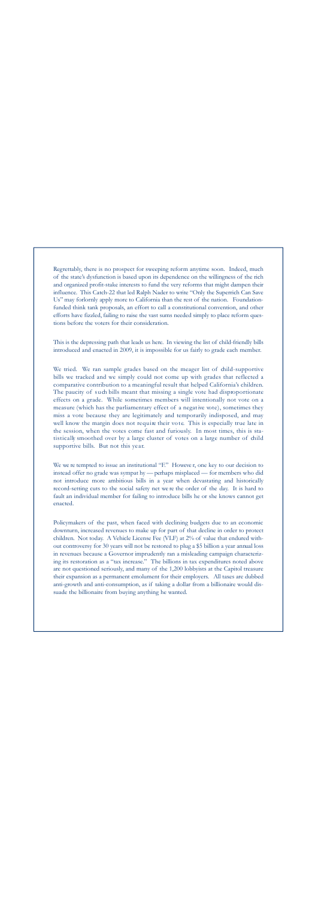Regrettably, there is no prospect for sweeping reform anytime soon. Indeed, much of the state's dysfunction is based upon its dependence on the willingness of the rich and organized profit-stake interests to fund the very reforms that might dampen their influence. This Catch-22 that led Ralph Nader to write "Only the Superrich Can Save Us" may forlornly apply more to California than the rest of the nation. Foundationfunded think tank proposals, an effort to call a constitutional convention, and other efforts have fizzled, failing to raise the vast sums needed simply to place reform questions before the voters for their consideration.

This is the depressing path that leads us here. In viewing the list of child-friendly bills introduced and enacted in 2009, it is impossible for us fairly to grade each member.

We tried. We ran sample grades based on the meager list of child-supportive bills we tracked and we simply could not come up with grades that reflected a comparative contribution to a meaningful result that helped California's children. The paucity of such bills meant that missing a single vote had disproportionate effects on a grade. While sometimes members will intentionally not vote on a measure (which has the parliamentary effect of a negative vote), sometimes they miss a vote because they are legitimately and temporarily indisposed, and may well know the margin does not require their vote. This is especially true late in the session, when the votes come fast and furiously. In most times, this is statistically smoothed over by a large cluster of votes on a large number of child supportive bills. But not this year.

We we re tempted to issue an institutional "F." However, one key to our decision to instead offer no grade was sympat hy — perhaps misplaced — for members who did not introduce more ambitious bills in a year when devastating and historically record-setting cuts to the social safety net we re the order of the day. It is hard to fault an individual member for failing to introduce bills he or she knows cannot get enacted.

Policymakers of the past, when faced with declining budgets due to an economic downturn, increased revenues to make up for part of that decline in order to protect children. Not today. A Vehicle License Fee (VLF) at 2% of value that endured without controversy for 30 years will not be restored to plug a \$5 billion a year annual loss in revenues because a Governor imprudently ran a misleading campaign characterizing its restoration as a "tax increase." The billions in tax expenditures noted above are not questioned seriously, and many of the 1,200 lobbyists at the Capitol treasure their expansion as a permanent emolument for their employers. All taxes are dubbed anti-growth and anti-consumption, as if taking a dollar from a billionaire would dissuade the billionaire from buying anything he wanted.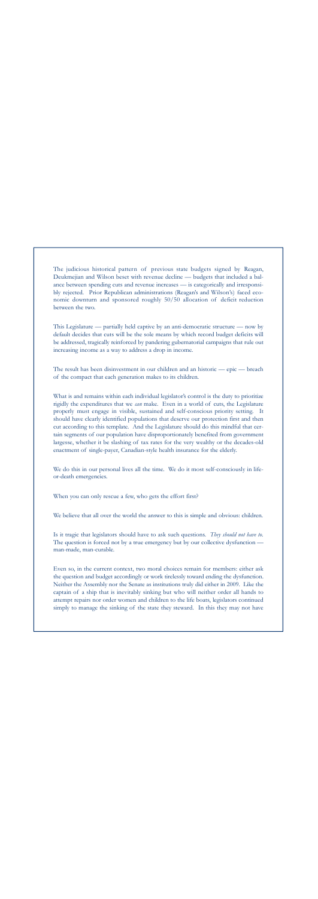The judicious historical pattern of previous state budgets signed by Reagan, Deukmejian and Wilson beset with revenue decline — budgets that included a balance between spending cuts and revenue increases — is categorically and irresponsibly rejected. Prior Republican administrations (Reagan's and Wilson's) faced economic downturn and sponsored roughly 50/50 allocation of deficit reduction between the two.

This Legislature — partially held captive by an anti-democratic structure — now by default decides that cuts will be the sole means by which record budget deficits will be addressed, tragically reinforced by pandering gubernatorial campaigns that rule out increasing income as a way to address a drop in income.

The result has been disinvestment in our children and an historic — epic — breach of the compact that each generation makes to its children.

What is and remains within each individual legislator's control is the duty to prioritize rigidly the expenditures that we *can* make. Even in a world of cuts, the Legislature properly must engage in visible, sustained and self-conscious priority setting. It should have clearly identified populations that deserve our protection first and then cut according to this template. And the Legislature should do this mindful that certain segments of our population have disproportionately benefited from government largesse, whether it be slashing of tax rates for the very wealthy or the decades-old enactment of single-payer, Canadian-style health insurance for the elderly.

We do this in our personal lives all the time. We do it most self-consciously in lifeor-death emergencies.

When you can only rescue a few, who gets the effort first?

We believe that all over the world the answer to this is simple and obvious: children.

Is it tragic that legislators should have to ask such questions. *They should not have to*. The question is forced not by a true emergency but by our collective dysfunction man-made, man-curable.

Even so, in the current context, two moral choices remain for members: either ask the question and budget accordingly or work tirelessly toward ending the dysfunction. Neither the Assembly nor the Senate as institutions truly did either in 2009. Like the captain of a ship that is inevitably sinking but who will neither order all hands to attempt repairs nor order women and children to the life boats, legislators continued simply to manage the sinking of the state they steward. In this they may not have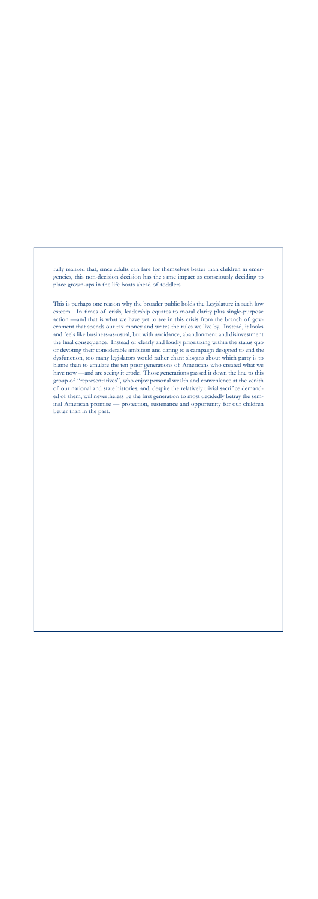fully realized that, since adults can fare for themselves better than children in emergencies, this non-decision decision has the same impact as consciously deciding to place grown-ups in the life boats ahead of toddlers.

This is perhaps one reason why the broader public holds the Legislature in such low esteem. In times of crisis, leadership equates to moral clarity plus single-purpose action —and that is what we have yet to see in this crisis from the branch of government that spends our tax money and writes the rules we live by. Instead, it looks and feels like business-as-usual, but with avoidance, abandonment and disinvestment the final consequence. Instead of clearly and loudly prioritizing within the status quo or devoting their considerable ambition and daring to a campaign designed to end the dysfunction, too many legislators would rather chant slogans about which party is to blame than to emulate the ten prior generations of Americans who created what we have now —and are seeing it erode. Those generations passed it down the line to this group of "representatives", who enjoy personal wealth and convenience at the zenith of our national and state histories, and, despite the relatively trivial sacrifice demanded of them, will nevertheless be the first generation to most decidedly betray the seminal American promise — protection, sustenance and opportunity for our children better than in the past.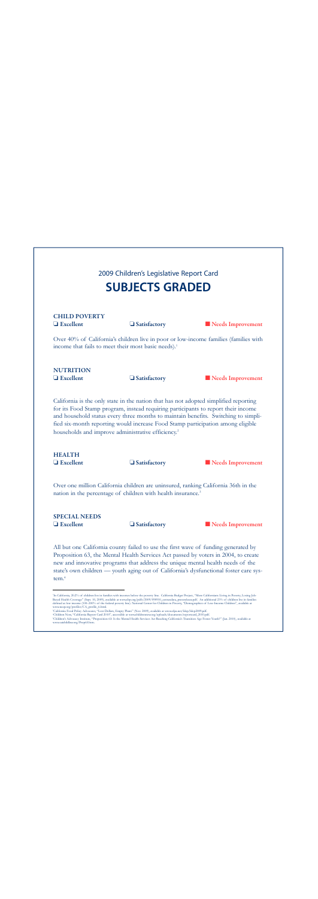### 2009 Children's Legislative Report Card **SUBJECTS GRADED**

## CHILD POVERTY

❏ Excellent ❏ Satisfactory ■ Needs Improvement

Over 40% of California's children live in poor or low-income families (families with income that fails to meet their most basic needs).<sup>1</sup>

# **NUTRITION**

#### ❏ Excellent ❏ Satisfactory ■ Needs Improvement

California is the only state in the nation that has not adopted simplified reporting for its Food Stamp program, instead requiring participants to report their income and household status every three months to maintain benefits. Switching to simplified six-month reporting would increase Food Stamp participation among eligible households and improve administrative efficiency.<sup>2</sup>

## **HEALTH**

❏ Excellent ❏ Satisfactory ■ Needs Improvement

Over one million California children are uninsured, ranking California 36th in the nation in the percentage of children with health insurance. 3

# SPECIAL NEEDS

#### ❏ Excellent ❏ Satisfactory ■ Needs Improvement

All but one California county failed to use the first wave of funding generated by Proposition 63, the Mental Health Services Act passed by voters in 2004, to create new and innovative programs that address the unique mental health needs of the state's own children — youth aging out of California's dysfunctional foster care system.4

<sup>1</sup> In California, 20.2% of children live in families with incomes below the poverty line. California Budget Project, "More Californians Living in Poverty, Losing Job-Based Health Coverage" (Sept. 10, 2009), available at www.cbp.org/pdfs/2009/090910\_censusdata\_pressrelease.pdf. An additional 23% of children live in families<br>defined as low income (100–200% of the federal poverty line). N www.nccp.org/profiles/CA\_profile\_6.html.

<sup>2</sup> California Food Policy Advocates, "Lost Dollars, Empty Plates" (Nov. 2009), available at www.cfpa.net/ldep/ldep2009.pdf.

<sup>3</sup> Children Now, "California Report Card 2010", accessible at www.childrennow.org/uploads/documents/reportcard\_2010.pdf.

<sup>4</sup> Children's Advocacy Institute, "Proposition 63: Is the Mental Health Services Act Reaching California's Transition Age Foster Youth?" (Jan. 2010), available at www.caichildlaw.org/Prop63.htm.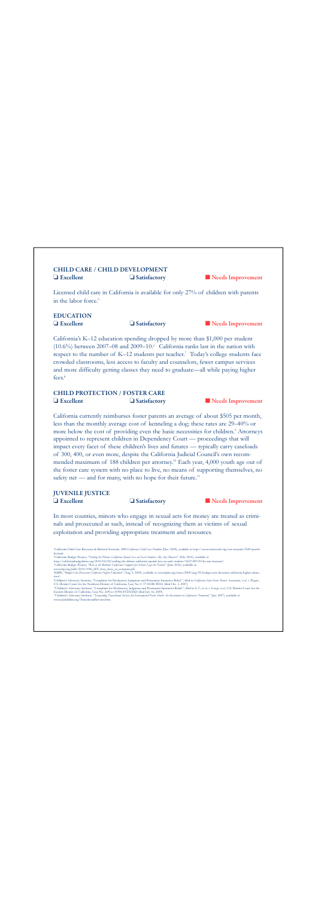#### CHILD CARE / CHILD DEVELOPMENT ❏ Excellent ❏ Satisfactory ■ Needs Improvement

Licensed child care in California is available for only 27% of children with parents in the labor force. 5

### EDUCATION

❏ Excellent ❏ Satisfactory ■ Needs Improvement

California's K–12 education spending dropped by more than \$1,000 per student (10.6%) between 2007–08 and 2009–10. $\degree$  California ranks last in the nation with respect to the number of K–12 students per teacher. <sup>7</sup> Today's college students face crowded classrooms, less access to faculty and counselors, fewer campus services and more difficulty getting classes they need to graduate—all while paying higher fees. 8

#### CHILD PROTECTION / FOSTER CARE ❏ Excellent ❏ Satisfactory ■ Needs Improvement

California currently reimburses foster parents an average of about \$505 per month, less than the monthly average cost of kenneling a dog; these rates are 29–40% or more below the cost of providing even the basic necessities for children.<sup>9</sup> Attorneys appointed to represent children in Dependency Court — proceedings that will impact every facet of these children's lives and futures — typically carry caseloads of 300, 400, or even more, despite the California Judicial Council's own recommended maximum of 188 children per attorney.<sup>10</sup> Each year, 4,000 youth age out of the foster care system with no place to live, no means of supporting themselves, no safety net — and for many, with no hope for their future.<sup>11</sup>

#### JUVENILE JUSTICE

❏ Excellent ❏ Satisfactory ■ Needs Improvement

In most counties, minors who engage in sexual acts for money are treated as criminals and prosecuted as such, instead of recognizing them as victims of sexual exploitation and providing appropriate treatment and resources.

5 California Child Care Resource & Referral Network, *2009 California Child Care Portfolio* (Dec. 2009), available at http://www.rrnetwork.org/our-research/2009-portfolio.html.

6 California Budget Project, "*Settling the Debate: California Spends Less on Each Student—By Any Measure*" (Feb. 2010), available at

http://californiabudgetbites.org/2010/02/24/settling-the-debate-california-spends-less-on-each-student-%E2%80%93-by-any-measure/.

7 California Budget Project, "*Race to the Bottom? California's Support for Schools Lags the Nation*" (June 2010), available at www.cbp.org/pdfs/2010/1006\_SFF\_how\_does\_ca\_compare.pdf.

8 KBPS, "*Budget Cuts Devastate California Higher Education*" (Aug. 5, 2009), available at www.kpbs.org/news/2009/aug/05/budget-cuts-devastate-california-higher-education/.

<sup>9</sup>Children's Advocacy Institute, "Complaint for Declaratory Judgment and Permanent Injunctive Relief", filed in *California State Foster Parent Association, et al. v. Wagner*, U.S. District Court for the Northern District of California, Case No. C 07-05086 WHA (filed Oct. 3, 2007).<br>"Children's Advocacy Institute, "Complaint for Declaratory Judgment and Permanent Injunctive Relief", filed in *E.T* 

Eastern District of California, Case No. 2:09-cv-01950-FCD-DAD (filed July 16, 2009).<br>"Children's Advocacy Institute, "Exp*anding Transitional Services for Emancipated Foster Youth: An Investment in California's Tomorron"* 

www.caichildlaw.org/TransitionalServices.htm.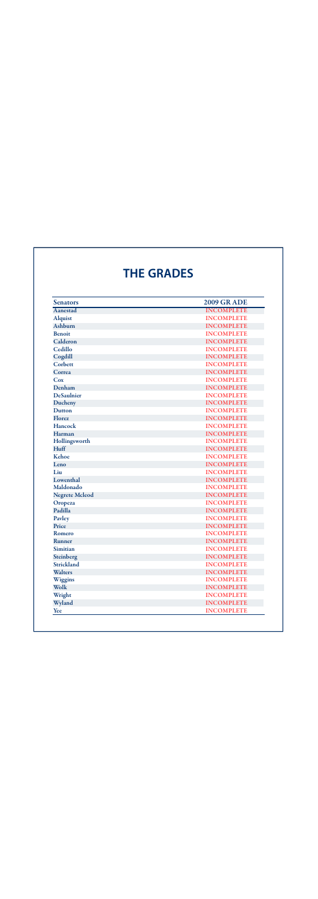## **THE GRADES**

| <b>Senators</b>       | <b>2009 GR ADE</b> |
|-----------------------|--------------------|
| Aanestad              | <b>INCOMPLETE</b>  |
| <b>Alquist</b>        | <b>INCOMPLETE</b>  |
| Ashburn               | <b>INCOMPLETE</b>  |
| <b>Benoit</b>         | <b>INCOMPLETE</b>  |
| Calderon              | <b>INCOMPLETE</b>  |
| Cedillo               | <b>INCOMPLETE</b>  |
| Cogdill               | <b>INCOMPLETE</b>  |
| Corbett               | <b>INCOMPLETE</b>  |
| Correa                | <b>INCOMPLETE</b>  |
| Cox                   | <b>INCOMPLETE</b>  |
| Denham                | <b>INCOMPLETE</b>  |
| <b>DeSaulnier</b>     | <b>INCOMPLETE</b>  |
| Ducheny               | <b>INCOMPLETE</b>  |
| <b>Dutton</b>         | <b>INCOMPLETE</b>  |
| Florez                | <b>INCOMPLETE</b>  |
| <b>Hancock</b>        | <b>INCOMPLETE</b>  |
| Harman                | <b>INCOMPLETE</b>  |
| Hollingsworth         | <b>INCOMPLETE</b>  |
| Huff                  | <b>INCOMPLETE</b>  |
| Kehoe                 | <b>INCOMPLETE</b>  |
| Leno                  | <b>INCOMPLETE</b>  |
| Liu                   | <b>INCOMPLETE</b>  |
| Lowenthal             | <b>INCOMPLETE</b>  |
| Maldonado             | <b>INCOMPLETE</b>  |
| <b>Negrete Mcleod</b> | <b>INCOMPLETE</b>  |
| Oropeza               | <b>INCOMPLETE</b>  |
| Padilla               | <b>INCOMPLETE</b>  |
| Pavley                | <b>INCOMPLETE</b>  |
| Price                 | <b>INCOMPLETE</b>  |
| Romero                | <b>INCOMPLETE</b>  |
| <b>Runner</b>         | <b>INCOMPLETE</b>  |
| <b>Simitian</b>       | <b>INCOMPLETE</b>  |
| Steinberg             | <b>INCOMPLETE</b>  |
| <b>Strickland</b>     | <b>INCOMPLETE</b>  |
| <b>Walters</b>        | <b>INCOMPLETE</b>  |
| Wiggins               | <b>INCOMPLETE</b>  |
| Wolk                  | <b>INCOMPLETE</b>  |
| Wright                | <b>INCOMPLETE</b>  |
| Wyland                | <b>INCOMPLETE</b>  |
| Yee                   | <b>INCOMPLETE</b>  |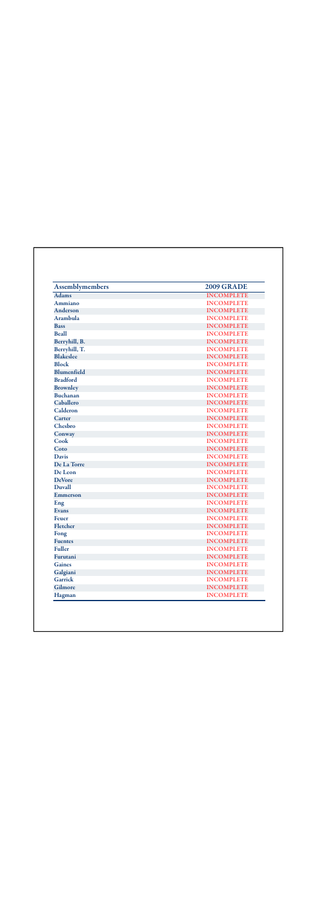| <b>Assemblymembers</b> | <b>2009 GRADE</b> |
|------------------------|-------------------|
| <b>Adams</b>           | <b>INCOMPLETE</b> |
| Ammiano                | <b>INCOMPLETE</b> |
| Anderson               | <b>INCOMPLETE</b> |
| Arambula               | <b>INCOMPLETE</b> |
| <b>Bass</b>            | <b>INCOMPLETE</b> |
| <b>Beall</b>           | <b>INCOMPLETE</b> |
| Berryhill, B.          | <b>INCOMPLETE</b> |
| Berryhill, T.          | <b>INCOMPLETE</b> |
| <b>Blakeslee</b>       | <b>INCOMPLETE</b> |
| <b>Block</b>           | <b>INCOMPLETE</b> |
| <b>Blumenfield</b>     | <b>INCOMPLETE</b> |
| <b>Bradford</b>        | <b>INCOMPLETE</b> |
| <b>Brownley</b>        | <b>INCOMPLETE</b> |
| <b>Buchanan</b>        | <b>INCOMPLETE</b> |
| Caballero              | <b>INCOMPLETE</b> |
| Calderon               | <b>INCOMPLETE</b> |
| Carter                 | <b>INCOMPLETE</b> |
| Chesbro                | <b>INCOMPLETE</b> |
| Conway                 | <b>INCOMPLETE</b> |
| Cook                   | <b>INCOMPLETE</b> |
| Coto                   | <b>INCOMPLETE</b> |
| <b>Davis</b>           | <b>INCOMPLETE</b> |
| De La Torre            | <b>INCOMPLETE</b> |
| De Leon                | <b>INCOMPLETE</b> |
| <b>DeVore</b>          | <b>INCOMPLETE</b> |
| <b>Duvall</b>          | <b>INCOMPLETE</b> |
| Emmerson               | <b>INCOMPLETE</b> |
| Eng                    | <b>INCOMPLETE</b> |
| <b>Evans</b>           | <b>INCOMPLETE</b> |
| Feuer                  | <b>INCOMPLETE</b> |
| Fletcher               | <b>INCOMPLETE</b> |
| Fong                   | <b>INCOMPLETE</b> |
| <b>Fuentes</b>         | <b>INCOMPLETE</b> |
| <b>Fuller</b>          | <b>INCOMPLETE</b> |
| Furutani               | <b>INCOMPLETE</b> |
| <b>Gaines</b>          | <b>INCOMPLETE</b> |
| Galgiani               | <b>INCOMPLETE</b> |
| <b>Garrick</b>         | <b>INCOMPLETE</b> |
| Gilmore                | <b>INCOMPLETE</b> |
| Hagman                 | <b>INCOMPLETE</b> |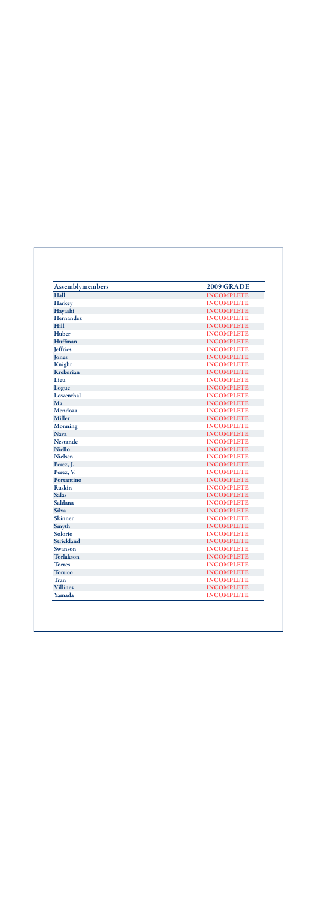| <b>Assemblymembers</b> | <b>2009 GRADE</b> |
|------------------------|-------------------|
| Hall                   | <b>INCOMPLETE</b> |
| <b>Harkey</b>          | <b>INCOMPLETE</b> |
| Hayashi                | <b>INCOMPLETE</b> |
| Hernandez              | <b>INCOMPLETE</b> |
| <b>Hill</b>            | <b>INCOMPLETE</b> |
| Huber                  | <b>INCOMPLETE</b> |
| Huffman                | <b>INCOMPLETE</b> |
| <b>Jeffries</b>        | <b>INCOMPLETE</b> |
| Jones                  | <b>INCOMPLETE</b> |
| Knight                 | <b>INCOMPLETE</b> |
| Krekorian              | <b>INCOMPLETE</b> |
| Lieu                   | <b>INCOMPLETE</b> |
| Logue                  | <b>INCOMPLETE</b> |
| Lowenthal              | <b>INCOMPLETE</b> |
| Ma                     | <b>INCOMPLETE</b> |
| Mendoza                | <b>INCOMPLETE</b> |
| <b>Miller</b>          | <b>INCOMPLETE</b> |
| <b>Monning</b>         | <b>INCOMPLETE</b> |
| <b>Nava</b>            | <b>INCOMPLETE</b> |
| <b>Nestande</b>        | <b>INCOMPLETE</b> |
| <b>Niello</b>          | <b>INCOMPLETE</b> |
| <b>Nielsen</b>         | <b>INCOMPLETE</b> |
| Perez, J.              | <b>INCOMPLETE</b> |
| Perez, V.              | <b>INCOMPLETE</b> |
| Portantino             | <b>INCOMPLETE</b> |
| <b>Ruskin</b>          | <b>INCOMPLETE</b> |
| <b>Salas</b>           | <b>INCOMPLETE</b> |
| Saldana                | <b>INCOMPLETE</b> |
| <b>Silva</b>           | <b>INCOMPLETE</b> |
| <b>Skinner</b>         | <b>INCOMPLETE</b> |
| Smyth                  | <b>INCOMPLETE</b> |
| Solorio                | <b>INCOMPLETE</b> |
| Strickland             | <b>INCOMPLETE</b> |
| Swanson                | <b>INCOMPLETE</b> |
| Torlakson              | <b>INCOMPLETE</b> |
| <b>Torres</b>          | <b>INCOMPLETE</b> |
| <b>Torrico</b>         | <b>INCOMPLETE</b> |
| <b>Tran</b>            | <b>INCOMPLETE</b> |
| <b>Villines</b>        | <b>INCOMPLETE</b> |
| Yamada                 | <b>INCOMPLETE</b> |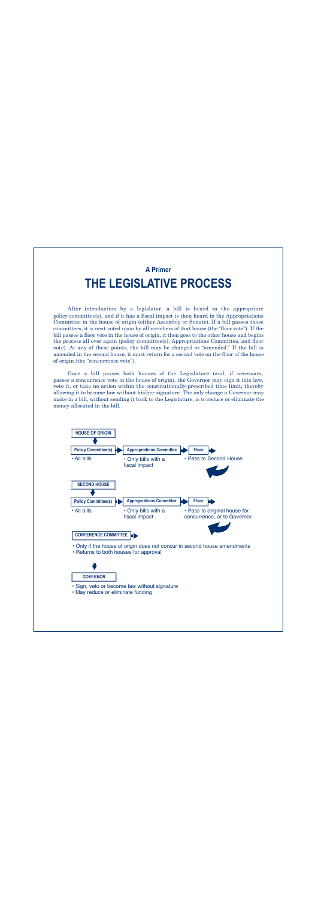### **A Primer THE LEGISLATIVE PROCESS**

After introduction by a legislator, a bill is heard in the appropriate policy committee(s), and if it has a fiscal impact is then heard in the Appropriations Committee in the house of origin (either Assembly or Senate). If a bill passes those committees, it is next voted upon by all members of that house (the "floor vote"). If the bill passes a floor vote in the house of origin, it then goes to the other house and begins the process all over again (policy committee(s), Appropriations Committee, and floor vote). At any of these points, the bill may be changed or "amended." If the bill is amended in the second house, it must return for a second vote on the floor of the house of origin (the "concurrence vote").

Once a bill passes both houses of the Legislature (and, if necessary, passes a concurrence vote in the house of origin), the Governor may sign it into law, veto it, or take no action within the constitutionally-prescribed time limit, thereby allowing it to become law without his/her signature. The only change a Governor may make in a bill, without sending it back to the Legislature, is to reduce or eliminate the money allocated in the bill.